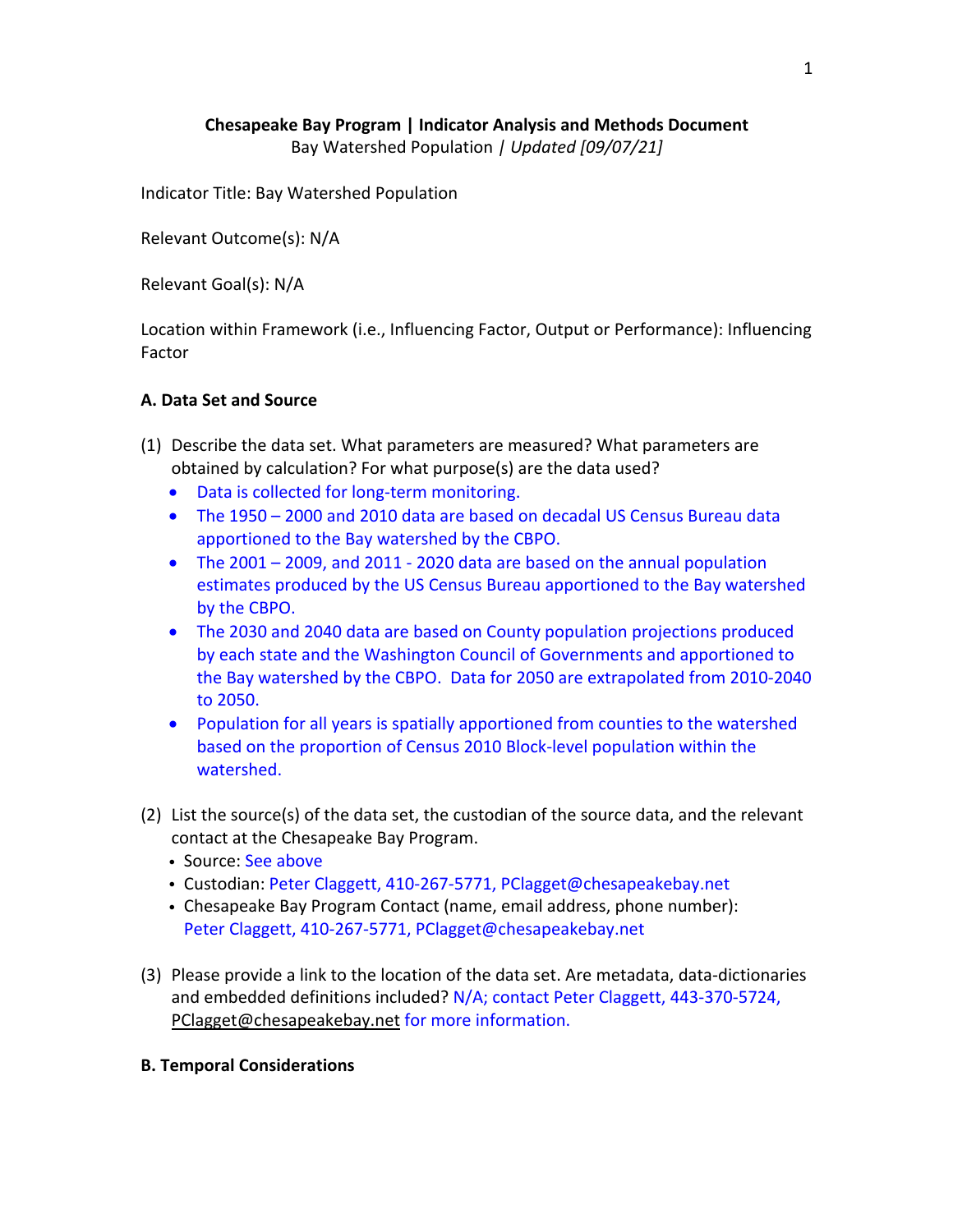# **Chesapeake Bay Program | Indicator Analysis and Methods Document** Bay Watershed Population *| Updated [09/07/21]*

Indicator Title: Bay Watershed Population

Relevant Outcome(s): N/A

Relevant Goal(s): N/A

Location within Framework (i.e., Influencing Factor, Output or Performance): Influencing Factor

## **A. Data Set and Source**

- (1) Describe the data set. What parameters are measured? What parameters are obtained by calculation? For what purpose(s) are the data used?
	- Data is collected for long-term monitoring.
	- The 1950 2000 and 2010 data are based on decadal US Census Bureau data apportioned to the Bay watershed by the CBPO.
	- The 2001 2009, and 2011 2020 data are based on the annual population estimates produced by the US Census Bureau apportioned to the Bay watershed by the CBPO.
	- The 2030 and 2040 data are based on County population projections produced by each state and the Washington Council of Governments and apportioned to the Bay watershed by the CBPO. Data for 2050 are extrapolated from 2010-2040 to 2050.
	- Population for all years is spatially apportioned from counties to the watershed based on the proportion of Census 2010 Block-level population within the watershed.
- (2) List the source(s) of the data set, the custodian of the source data, and the relevant contact at the Chesapeake Bay Program.
	- Source: See above
	- Custodian: Peter Claggett, 410-267-5771, PClagget@chesapeakebay.net
	- Chesapeake Bay Program Contact (name, email address, phone number): Peter Claggett, 410-267-5771, PClagget@chesapeakebay.net
- (3) Please provide a link to the location of the data set. Are metadata, data-dictionaries and embedded definitions included? N/A; contact Peter Claggett, 443-370-5724, PClagget@chesapeakebay.net for more information.

## **B. Temporal Considerations**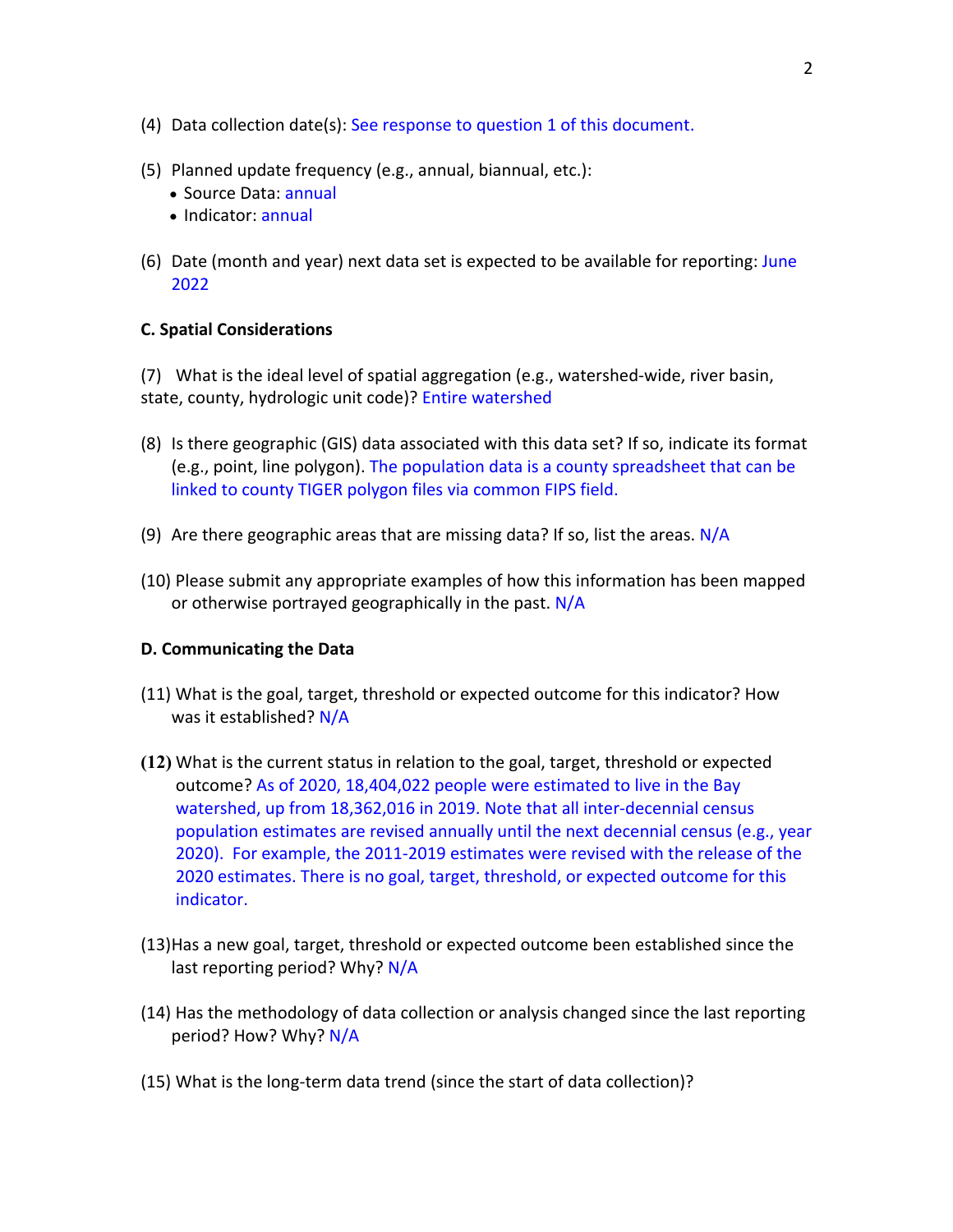- (4) Data collection date(s): See response to question 1 of this document.
- (5) Planned update frequency (e.g., annual, biannual, etc.):
	- Source Data: annual
	- Indicator: annual
- (6) Date (month and year) next data set is expected to be available for reporting: June 2022

## **C. Spatial Considerations**

(7) What is the ideal level of spatial aggregation (e.g., watershed-wide, river basin, state, county, hydrologic unit code)? Entire watershed

- (8) Is there geographic (GIS) data associated with this data set? If so, indicate its format (e.g., point, line polygon). The population data is a county spreadsheet that can be linked to county TIGER polygon files via common FIPS field.
- (9) Are there geographic areas that are missing data? If so, list the areas.  $N/A$
- (10) Please submit any appropriate examples of how this information has been mapped or otherwise portrayed geographically in the past. N/A

### **D. Communicating the Data**

- (11) What is the goal, target, threshold or expected outcome for this indicator? How was it established? N/A
- **(12)** What is the current status in relation to the goal, target, threshold or expected outcome? As of 2020, 18,404,022 people were estimated to live in the Bay watershed, up from 18,362,016 in 2019. Note that all inter-decennial census population estimates are revised annually until the next decennial census (e.g., year 2020). For example, the 2011-2019 estimates were revised with the release of the 2020 estimates. There is no goal, target, threshold, or expected outcome for this indicator.
- (13)Has a new goal, target, threshold or expected outcome been established since the last reporting period? Why? N/A
- (14) Has the methodology of data collection or analysis changed since the last reporting period? How? Why? N/A
- (15) What is the long-term data trend (since the start of data collection)?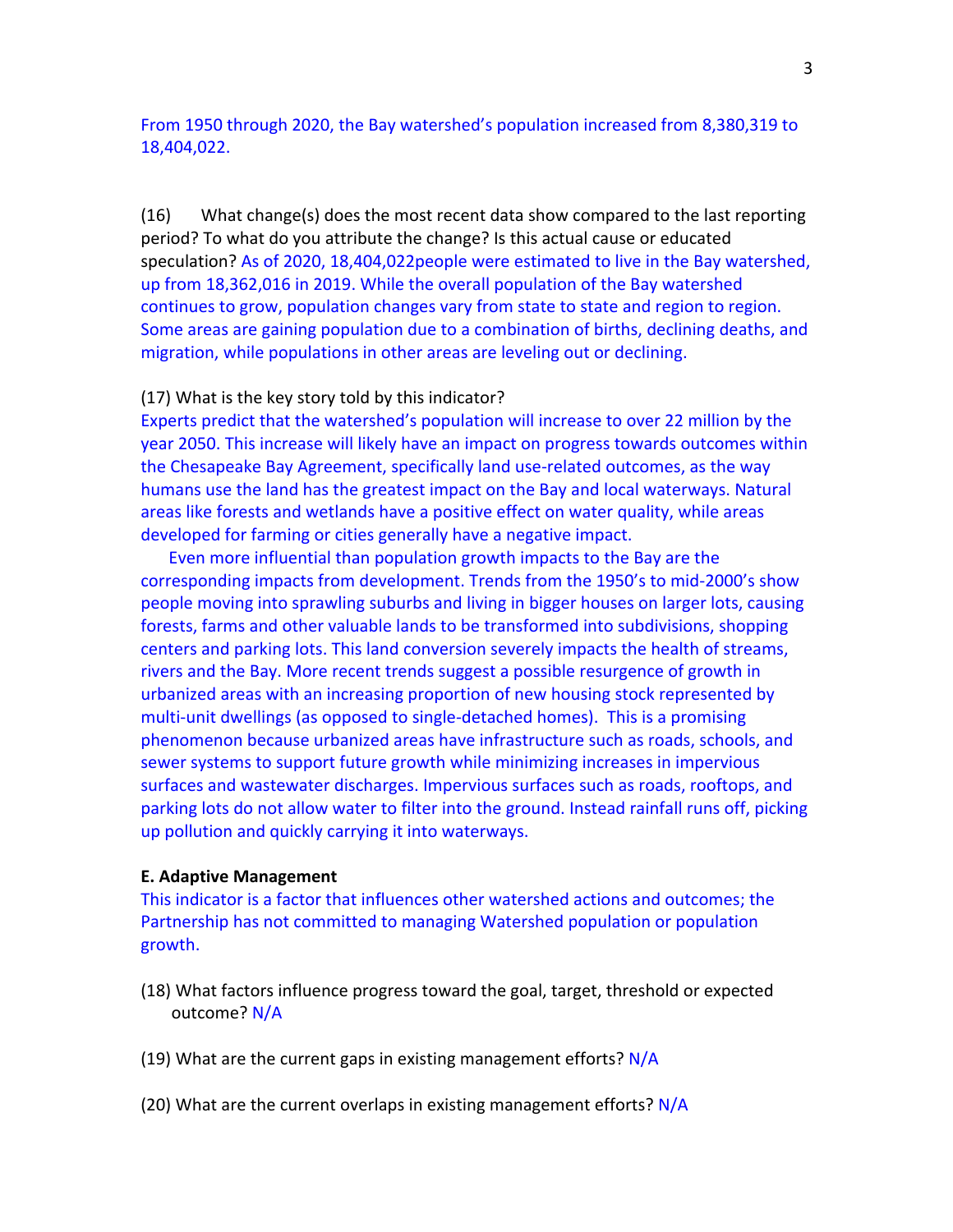From 1950 through 2020, the Bay watershed's population increased from 8,380,319 to 18,404,022.

(16) What change(s) does the most recent data show compared to the last reporting period? To what do you attribute the change? Is this actual cause or educated speculation? As of 2020, 18,404,022people were estimated to live in the Bay watershed, up from 18,362,016 in 2019. While the overall population of the Bay watershed continues to grow, population changes vary from state to state and region to region. Some areas are gaining population due to a combination of births, declining deaths, and migration, while populations in other areas are leveling out or declining.

### (17) What is the key story told by this indicator?

Experts predict that the watershed's population will increase to over 22 million by the year 2050. This increase will likely have an impact on progress towards outcomes within the Chesapeake Bay Agreement, specifically land use-related outcomes, as the way humans use the land has the greatest impact on the Bay and local waterways. Natural areas like forests and wetlands have a positive effect on water quality, while areas developed for farming or cities generally have a negative impact.

Even more influential than population growth impacts to the Bay are the corresponding impacts from development. Trends from the 1950's to mid-2000's show people moving into sprawling suburbs and living in bigger houses on larger lots, causing forests, farms and other valuable lands to be transformed into subdivisions, shopping centers and parking lots. This land conversion severely impacts the health of streams, rivers and the Bay. More recent trends suggest a possible resurgence of growth in urbanized areas with an increasing proportion of new housing stock represented by multi-unit dwellings (as opposed to single-detached homes). This is a promising phenomenon because urbanized areas have infrastructure such as roads, schools, and sewer systems to support future growth while minimizing increases in impervious surfaces and wastewater discharges. Impervious surfaces such as roads, rooftops, and parking lots do not allow water to filter into the ground. Instead rainfall runs off, picking up pollution and quickly carrying it into waterways.

#### **E. Adaptive Management**

This indicator is a factor that influences other watershed actions and outcomes; the Partnership has not committed to managing Watershed population or population growth.

- (18) What factors influence progress toward the goal, target, threshold or expected outcome? N/A
- (19) What are the current gaps in existing management efforts?  $N/A$
- (20) What are the current overlaps in existing management efforts?  $N/A$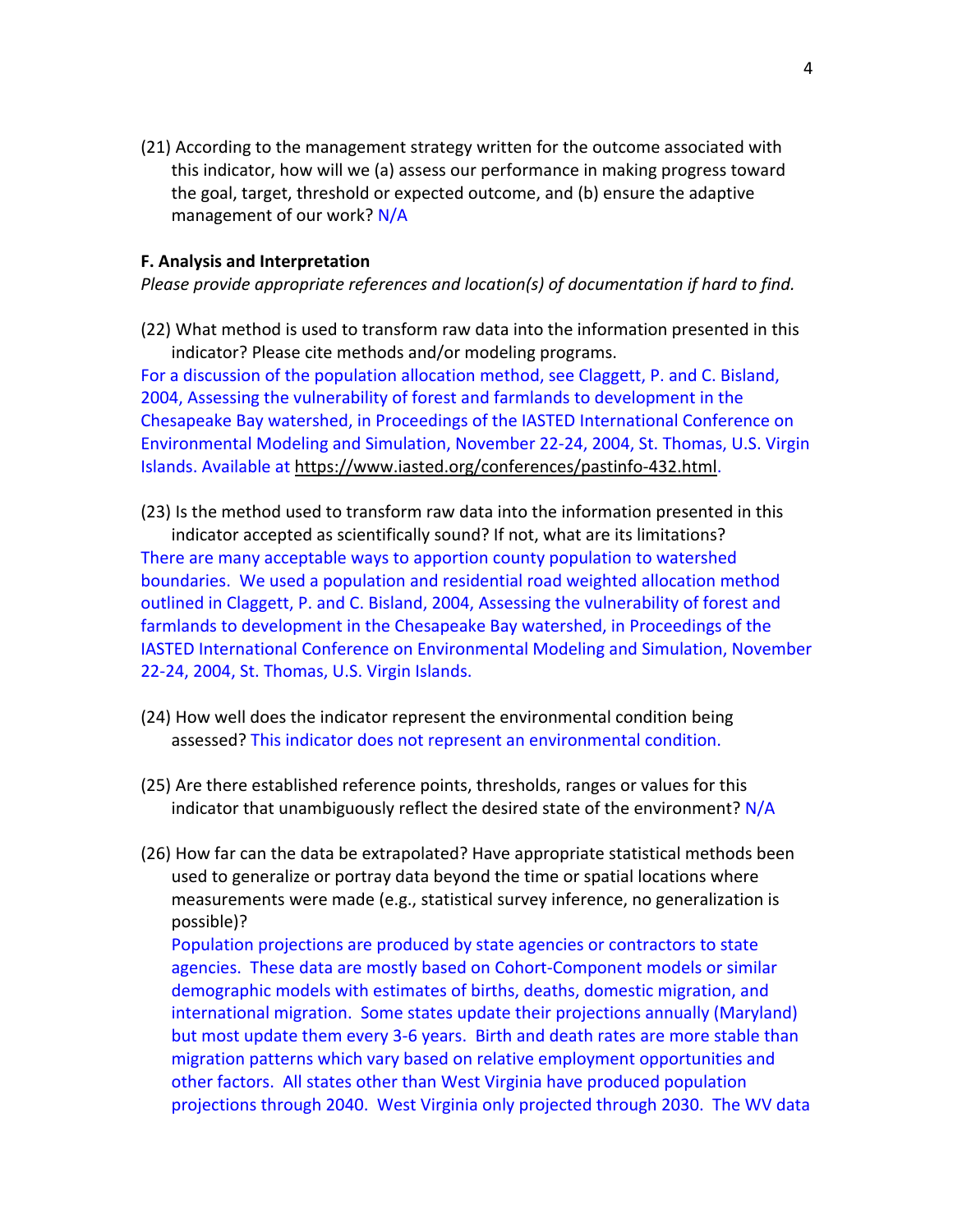(21) According to the management strategy written for the outcome associated with this indicator, how will we (a) assess our performance in making progress toward the goal, target, threshold or expected outcome, and (b) ensure the adaptive management of our work? N/A

#### **F. Analysis and Interpretation**

*Please provide appropriate references and location(s) of documentation if hard to find.*

(22) What method is used to transform raw data into the information presented in this indicator? Please cite methods and/or modeling programs.

For a discussion of the population allocation method, see Claggett, P. and C. Bisland, 2004, Assessing the vulnerability of forest and farmlands to development in the Chesapeake Bay watershed, in Proceedings of the IASTED International Conference on Environmental Modeling and Simulation, November 22-24, 2004, St. Thomas, U.S. Virgin Islands. Available at https://www.iasted.org/conferences/pastinfo-432.html.

- (23) Is the method used to transform raw data into the information presented in this indicator accepted as scientifically sound? If not, what are its limitations? There are many acceptable ways to apportion county population to watershed boundaries. We used a population and residential road weighted allocation method outlined in Claggett, P. and C. Bisland, 2004, Assessing the vulnerability of forest and farmlands to development in the Chesapeake Bay watershed, in Proceedings of the IASTED International Conference on Environmental Modeling and Simulation, November 22-24, 2004, St. Thomas, U.S. Virgin Islands.
- (24) How well does the indicator represent the environmental condition being assessed? This indicator does not represent an environmental condition.
- (25) Are there established reference points, thresholds, ranges or values for this indicator that unambiguously reflect the desired state of the environment? N/A
- (26) How far can the data be extrapolated? Have appropriate statistical methods been used to generalize or portray data beyond the time or spatial locations where measurements were made (e.g., statistical survey inference, no generalization is possible)? Population projections are produced by state agencies or contractors to state

agencies. These data are mostly based on Cohort-Component models or similar demographic models with estimates of births, deaths, domestic migration, and international migration. Some states update their projections annually (Maryland) but most update them every 3-6 years. Birth and death rates are more stable than migration patterns which vary based on relative employment opportunities and other factors. All states other than West Virginia have produced population projections through 2040. West Virginia only projected through 2030. The WV data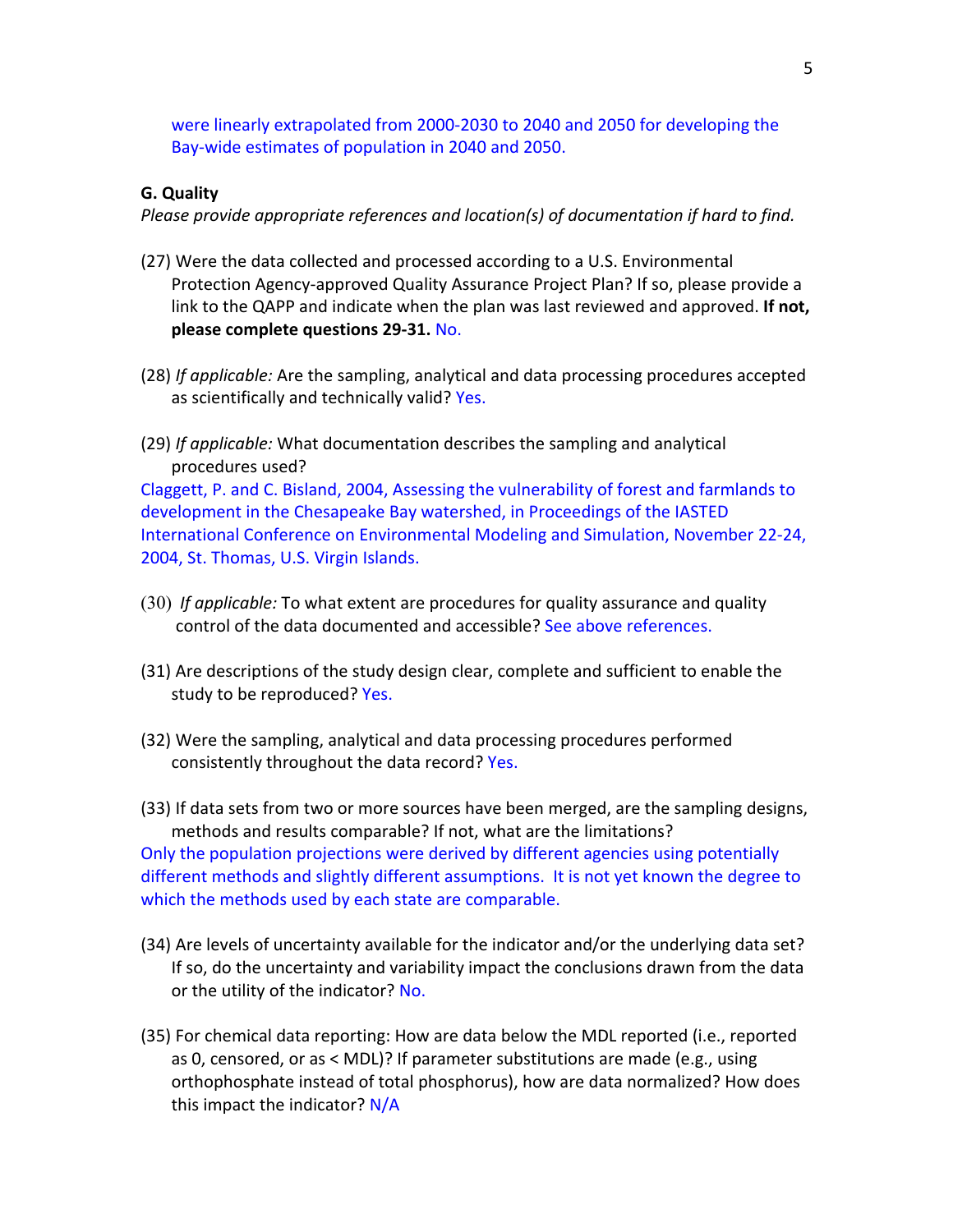were linearly extrapolated from 2000-2030 to 2040 and 2050 for developing the Bay-wide estimates of population in 2040 and 2050.

#### **G. Quality**

*Please provide appropriate references and location(s) of documentation if hard to find.*

- (27) Were the data collected and processed according to a U.S. Environmental Protection Agency-approved Quality Assurance Project Plan? If so, please provide a link to the QAPP and indicate when the plan was last reviewed and approved. **If not, please complete questions 29-31.** No.
- (28) *If applicable:* Are the sampling, analytical and data processing procedures accepted as scientifically and technically valid? Yes.
- (29) *If applicable:* What documentation describes the sampling and analytical procedures used?

Claggett, P. and C. Bisland, 2004, Assessing the vulnerability of forest and farmlands to development in the Chesapeake Bay watershed, in Proceedings of the IASTED International Conference on Environmental Modeling and Simulation, November 22-24, 2004, St. Thomas, U.S. Virgin Islands.

- (30) *If applicable:* To what extent are procedures for quality assurance and quality control of the data documented and accessible? See above references.
- (31) Are descriptions of the study design clear, complete and sufficient to enable the study to be reproduced? Yes.
- (32) Were the sampling, analytical and data processing procedures performed consistently throughout the data record? Yes.

(33) If data sets from two or more sources have been merged, are the sampling designs, methods and results comparable? If not, what are the limitations? Only the population projections were derived by different agencies using potentially different methods and slightly different assumptions. It is not yet known the degree to which the methods used by each state are comparable.

- (34) Are levels of uncertainty available for the indicator and/or the underlying data set? If so, do the uncertainty and variability impact the conclusions drawn from the data or the utility of the indicator? No.
- (35) For chemical data reporting: How are data below the MDL reported (i.e., reported as 0, censored, or as < MDL)? If parameter substitutions are made (e.g., using orthophosphate instead of total phosphorus), how are data normalized? How does this impact the indicator? N/A